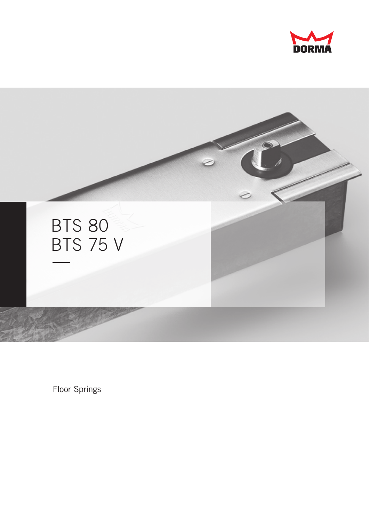



Floor Springs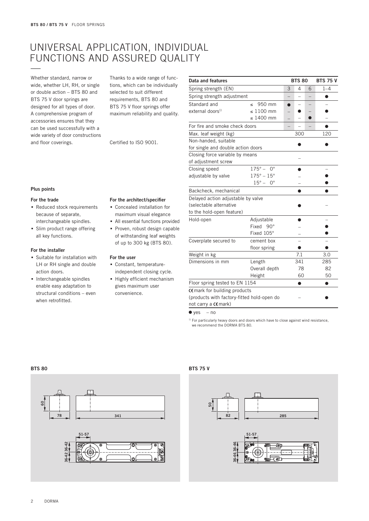## Universal application, individual functions and assured quality —

Whether standard, narrow or wide, whether LH, RH, or single or double action – BTS 80 and BTS 75 V door springs are designed for all types of door. A comprehensive program of accessories ensures that they can be used successfully with a wide variety of door constructions and floor coverings.

Thanks to a wide range of functions, which can be individually selected to suit different requirements, BTS 80 and BTS 75 V floor springs offer maximum reliability and quality.

Certified to ISO 9001.

| Data and features                          |                                    | <b>BTS 80</b> |     | <b>BTS 75 V</b> |     |  |  |
|--------------------------------------------|------------------------------------|---------------|-----|-----------------|-----|--|--|
| Spring strength (EN)                       | 3                                  | 4             | 6   | $1 - 4$         |     |  |  |
| Spring strength adjustment                 |                                    |               |     | Ω               |     |  |  |
| Standard and                               | 950 mm<br>$\overline{\phantom{a}}$ |               |     |                 |     |  |  |
| external doors <sup>1)</sup>               | $\leq 1100$ mm                     |               |     |                 |     |  |  |
|                                            | $\leq 1400$ mm                     |               |     |                 |     |  |  |
| For fire and smoke check doors             |                                    |               |     |                 |     |  |  |
| Max. leaf weight (kg)                      |                                    |               | 120 |                 |     |  |  |
| Non-handed, suitable                       |                                    |               |     |                 |     |  |  |
| for single and double action doors         |                                    |               |     |                 |     |  |  |
| Closing force variable by means            |                                    |               |     |                 |     |  |  |
| of adjustment screw                        |                                    |               |     |                 |     |  |  |
| Closing speed                              | $175^\circ - 0^\circ$              |               |     |                 |     |  |  |
| adjustable by valve                        | $175^{\circ} - 15^{\circ}$         |               |     |                 |     |  |  |
|                                            | $15^\circ - 0^\circ$               |               |     |                 |     |  |  |
| Backcheck, mechanical                      |                                    |               |     |                 |     |  |  |
| Delayed action adjustable by valve         |                                    |               |     |                 |     |  |  |
| (selectable alternative                    |                                    |               |     |                 |     |  |  |
| to the hold-open feature)                  |                                    |               |     |                 |     |  |  |
| Hold-open                                  | Adjustable                         |               |     |                 |     |  |  |
|                                            | Fixed 90°                          |               |     |                 |     |  |  |
|                                            | Fixed 105°                         |               |     |                 |     |  |  |
| Coverplate secured to                      | cement box                         |               |     |                 |     |  |  |
|                                            | floor spring                       |               | ●   |                 | ●   |  |  |
| Weight in kg                               |                                    |               | 7.1 |                 | 3.0 |  |  |
| Dimensions in mm                           | Length                             |               | 341 | 285             |     |  |  |
|                                            | Overall depth                      |               | 78  |                 | 82  |  |  |
|                                            | Height                             |               | 60  |                 | 50  |  |  |
| Floor spring tested to EN 1154             |                                    |               |     |                 |     |  |  |
| CE mark for building products              |                                    |               |     |                 |     |  |  |
| (products with factory-fitted hold-open do |                                    |               |     |                 |     |  |  |
| not carry a CE mark)                       |                                    |               |     |                 |     |  |  |

 $\bullet$  yes – no

1) For particularly heavy doors and doors which have to close against wind resistance, we recommend the DORMA BTS 80.

## **Plus points**

#### **For the trade**

- **.** Reduced stock requirements because of separate, interchangeable spindles.
- **.** Slim product range offering all key functions.

## **For the installer**

- **.** Suitable for installation with LH or RH single and double action doors.
- **.** Interchangeable spindles enable easy adaptation to structural conditions – even when retrofitted.

#### **For the architect/specifier**

- **.** Concealed installation for maximum visual elegance
- **.** All essential functions provided
- **.** Proven, robust design capable of withstanding leaf weights of up to 300 kg (BTS 80).

#### **For the user**

- **.** Constant, temperatureindependent closing cycle.
- **.** Highly efficient mechanism

| gives maximum user |  |
|--------------------|--|
| convenience.       |  |

| $\sim$<br>$\sim$ | $\sim$ |
|------------------|--------|
|------------------|--------|



## **BTS 75 V**



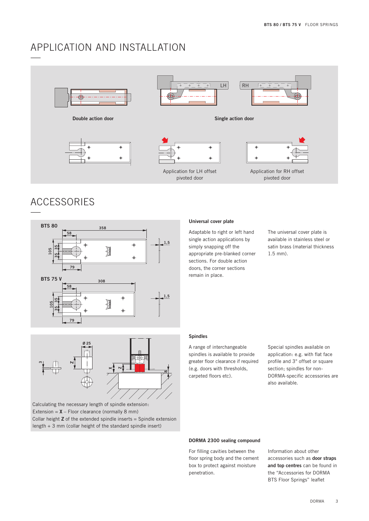## APPLICATION AND INSTALLATION



**Double action door Single action door**









Application for LH offset pivoted door



Application for RH offset pivoted door

## **ACCESSORIES**



## **XZ83Ø 25 Z**

Calculating the necessary length of spindle extension: Extension =  $X$  – Floor clearance (normally 8 mm) Collar height **Z** of the extended spindle inserts = Spindle extension length + 3 mm (collar height of the standard spindle insert)

## **Universal cover plate**

Adaptable to right or left hand single action applications by simply snapping off the appropriate pre-blanked corner sections. For double action doors, the corner sections remain in place.

The universal cover plate is available in stainless steel or satin brass (material thickness 1.5 mm).

## **Spindles**

A range of interchangeable spindles is available to provide greater floor clearance if required (e.g. doors with thresholds, carpeted floors etc).

Special spindles available on application: e.g. with flat face profile and 3° offset or square section; spindles for non-DORMA-specific accessories are also available.

### **DORMA 2300 sealing compound**

For filling cavities between the floor spring body and the cement box to protect against moisture penetration.

Information about other accessories such as **door straps and top centres** can be found in the "Accessories for DORMA BTS Floor Springs" leaflet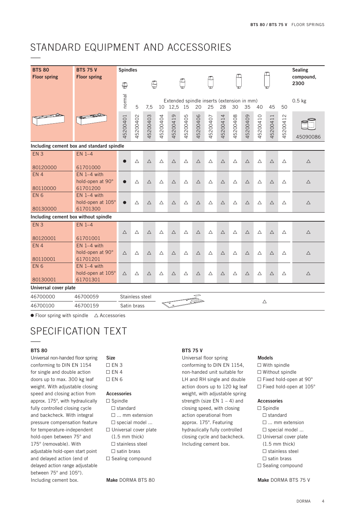## STANDARD EQUIPMENT AND ACCESSORIES

| <b>BTS 80</b><br><b>Floor spring</b> | <b>BTS 75 V</b><br><b>Floor spring</b>         | <b>Spindles</b> |                 |                                                                                                                 |             |             |             |              |             |             |             |             |             | <b>Sealing</b><br>compound, |                   |             |
|--------------------------------------|------------------------------------------------|-----------------|-----------------|-----------------------------------------------------------------------------------------------------------------|-------------|-------------|-------------|--------------|-------------|-------------|-------------|-------------|-------------|-----------------------------|-------------------|-------------|
|                                      |                                                | $\oplus$        |                 | ₩                                                                                                               |             |             |             |              |             |             |             |             |             |                             | 2300              |             |
|                                      |                                                | normal          | 5               | Extended spindle inserts (extension in mm)<br>12,5<br>20<br>30<br>7,5<br>10<br>15<br>25<br>28<br>35<br>40<br>45 |             |             |             |              |             |             | 50          | $0.5$ kg    |             |                             |                   |             |
|                                      |                                                | 15200401        | 5200402         | 45200403                                                                                                        | 45200404    | 45200419    | 45200405    | 45200406     | 45200407    | 45200414    | 45200408    | 45200409    | 45200410    | 45200411                    | $\sim$<br>4520041 | 45090086    |
|                                      | Including cement box and standard spindle      |                 |                 |                                                                                                                 |             |             |             |              |             |             |             |             |             |                             |                   |             |
| EN <sub>3</sub>                      | $EN$ 1-4                                       |                 |                 |                                                                                                                 |             |             |             |              |             |             |             |             |             |                             |                   |             |
| 80120000                             | 61701000                                       |                 | $\triangle$     | $\triangle$                                                                                                     | $\triangle$ | $\triangle$ | $\triangle$ | $\triangle$  | $\triangle$ | $\triangle$ | $\triangle$ | $\triangle$ | $\triangle$ | $\triangle$                 | $\triangle$       | $\triangle$ |
| EN <sub>4</sub><br>80110000          | $EN$ 1-4 with<br>hold-open at 90°<br>61701200  |                 | $\triangle$     | $\triangle$                                                                                                     | Δ           | $\triangle$ | Δ           | $\triangle$  | Δ           | $\triangle$ | $\triangle$ | $\triangle$ | Δ           | $\triangle$                 | Δ                 | $\triangle$ |
| EN <sub>6</sub><br>80130000          | $EN$ 1-4 with<br>hold-open at 105°<br>61701300 |                 | Δ               | Δ                                                                                                               | Δ           | $\triangle$ | Δ           | Δ            | Δ           | $\triangle$ | Δ           | $\triangle$ | Δ           | $\triangle$                 | Δ                 | Δ           |
| Including cement box without spindle |                                                |                 |                 |                                                                                                                 |             |             |             |              |             |             |             |             |             |                             |                   |             |
| EN <sub>3</sub>                      | $EN$ 1-4                                       | $\triangle$     | $\triangle$     | $\triangle$                                                                                                     | $\triangle$ | $\triangle$ | $\triangle$ | $\triangle$  | $\triangle$ | $\triangle$ | $\triangle$ | $\triangle$ | $\triangle$ | $\triangle$                 | $\triangle$       | $\triangle$ |
| 80120001                             | 61701001                                       |                 |                 |                                                                                                                 |             |             |             |              |             |             |             |             |             |                             |                   |             |
| EN <sub>4</sub><br>80110001          | $EN$ 1-4 with<br>hold-open at 90°<br>61701201  | $\triangle$     | $\triangle$     | $\triangle$                                                                                                     | Δ           | $\triangle$ | Δ           | $\triangle$  | $\triangle$ | $\triangle$ | $\triangle$ | $\triangle$ | $\triangle$ | $\triangle$                 | $\triangle$       | $\triangle$ |
| EN <sub>6</sub>                      | $EN$ 1-4 with                                  |                 |                 |                                                                                                                 |             |             |             |              |             |             |             |             |             |                             |                   |             |
| 80130001                             | hold-open at 105°<br>61701301                  | $\triangle$     | $\triangle$     | Δ                                                                                                               | Δ           | $\triangle$ | Δ           | $\triangle$  | $\triangle$ | $\triangle$ | $\triangle$ | $\triangle$ | Δ           | $\triangle$                 | $\triangle$       | $\triangle$ |
| Universal cover plate                |                                                |                 |                 |                                                                                                                 |             |             |             |              |             |             |             |             |             |                             |                   |             |
| 46700000                             | 46700059                                       |                 | Stainless steel |                                                                                                                 |             |             |             | ⇔<br>.<br>Se |             |             |             |             |             |                             |                   |             |
| 46700100                             | 46700159                                       |                 | Satin brass     |                                                                                                                 | $\triangle$ |             |             |              |             |             |             |             |             |                             |                   |             |

 $\bullet$  Floor spring with spindle  $\triangle$  Accessories

# SPECIFICATION TEXT

### **BTS 80**

Universal non-handed floor spring conforming to DIN EN 1154 for single and double action doors up to max. 300 kg leaf weight. With adjustable closing speed and closing action from approx. 175°, with hydraulically fully controlled closing cycle and backcheck. With integral pressure compensation feature for temperature-independent hold-open between 75° and 175° (removable). With adjustable hold-open start point and delayed action (end of delayed action range adjustable between 75° and 105°). Including cement box.

## **Size**  $\Box$  EN 3  $\Box$  FN 4  $\Box$  EN 6

### **Accessories**

- $\square$  Spindle
	- $\Box$  standard  $\square$  ... mm extension
	- $\square$  special model ...
- $\Box$  Universal cover plate
	- (1.5 mm thick)  $\Box$  stainless steel
	- $\Box$  satin brass
	-
- $\Box$  Sealing compound

**Make** DORMA BTS 80

## **BTS 75 V**

Universal floor spring conforming to DIN EN 1154, non-handed unit suitable for LH and RH single and double action doors up to 120 kg leaf weight, with adjustable spring strength (size EN  $1 - 4$ ) and closing speed, with closing action operational from approx. 175°. Featuring hydraulically fully controlled closing cycle and backcheck. Including cement box.

## **Models**

- $\Box$  With spindle
- $\Box$  Without spindle
- $\Box$  Fixed hold-open at 90°
- $\Box$  Fixed hold-open at 105°

## **Accessories**

- $\square$  Spindle  $\Box$  standard
	- $\square$  ... mm extension
	- $\Box$  special model ...
	-
- $\Box$  Universal cover plate (1.5 mm thick)  $\square$  stainless steel
- $\Box$  satin brass
- $\Box$  Sealing compound

**Make** DORMA BTS 75 V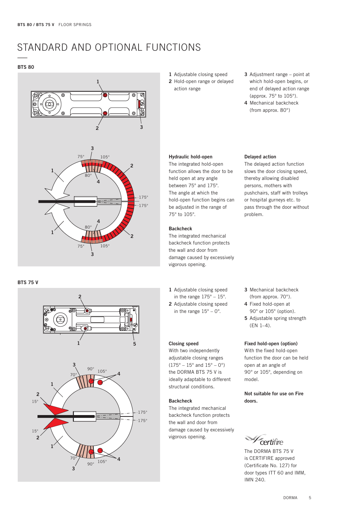## STANDARD AND OPTIONAL FUNCTIONS

#### **BTS 80**





## **BTS 75 V**



- **1** Adjustable closing speed
- **2** Hold-open range or delayed action range
- **3** Adjustment range point at which hold-open begins, or end of delayed action range (approx. 75° to 105°).
- **4** Mechanical backcheck (from approx. 80°)

#### **Hydraulic hold-open**

The integrated hold-open function allows the door to be held open at any angle between 75° and 175°. The angle at which the hold-open function begins can be adjusted in the range of 75° to 105°.

### **Backcheck**

The integrated mechanical backcheck function protects the wall and door from damage caused by excessively vigorous opening.

- **1** Adjustable closing speed
- in the range  $175^\circ 15^\circ$ .
- **2** Adjustable closing speed in the range  $15^{\circ} - 0^{\circ}$ .

## **Closing speed**

With two independently adjustable closing ranges  $(175^{\circ} - 15^{\circ}$  and  $15^{\circ} - 0^{\circ})$ the DORMA BTS 75 V is ideally adaptable to different structural conditions.

#### **Backcheck**

The integrated mechanical backcheck function protects the wall and door from damage caused by excessively vigorous opening.

#### **Delayed action**

The delayed action function slows the door closing speed, thereby allowing disabled persons, mothers with pushchairs, staff with trolleys or hospital gurneys etc. to pass through the door without problem.

- **3** Mechanical backcheck (from approx. 70°).
- **4** Fixed hold-open at 90° or 105° (option).
- **5** Adjustable spring strength (EN 1–4).

#### **Fixed hold-open (option)**

With the fixed hold-open function the door can be held open at an angle of 90° or 105°, depending on model.

**Not suitable for use on Fire doors.**

certifire

The DORMA BTS 75 V is CERTIFIRE approved (Certificate No. 127) for door types ITT 60 and IMM, IMN 240.